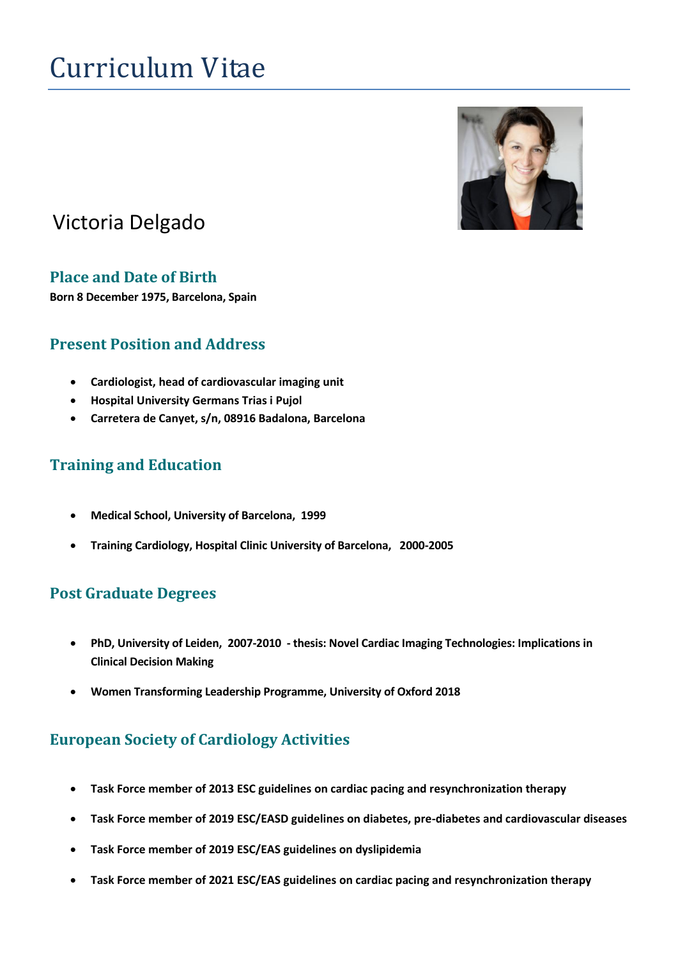# Curriculum Vitae



# Victoria Delgado

#### **Place and Date of Birth**

**Born 8 December 1975, Barcelona, Spain**

# **Present Position and Address**

- **Cardiologist, head of cardiovascular imaging unit**
- **Hospital University Germans Trias i Pujol**
- **Carretera de Canyet, s/n, 08916 Badalona, Barcelona**

# **Training and Education**

- **Medical School, University of Barcelona, 1999**
- **Training Cardiology, Hospital Clinic University of Barcelona, 2000-2005**

# **Post Graduate Degrees**

- **PhD, University of Leiden, 2007-2010 - thesis: Novel Cardiac Imaging Technologies: Implications in Clinical Decision Making**
- **Women Transforming Leadership Programme, University of Oxford 2018**

# **European Society of Cardiology Activities**

- **Task Force member of 2013 ESC guidelines on cardiac pacing and resynchronization therapy**
- **Task Force member of 2019 ESC/EASD guidelines on diabetes, pre-diabetes and cardiovascular diseases**
- **Task Force member of 2019 ESC/EAS guidelines on dyslipidemia**
- **Task Force member of 2021 ESC/EAS guidelines on cardiac pacing and resynchronization therapy**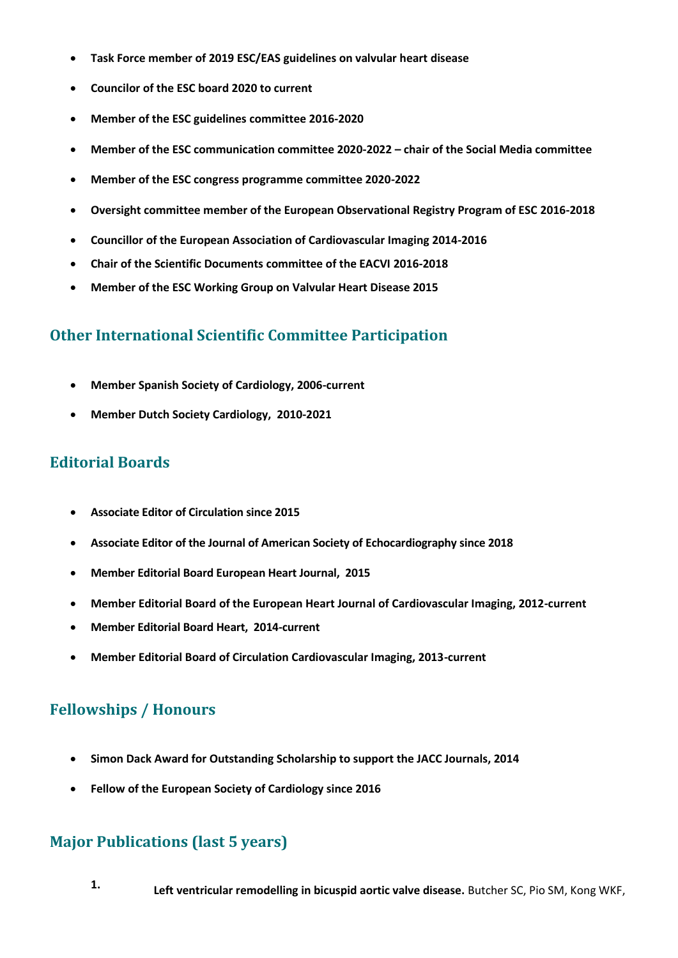- **Task Force member of 2019 ESC/EAS guidelines on valvular heart disease**
- **Councilor of the ESC board 2020 to current**
- **Member of the ESC guidelines committee 2016-2020**
- **Member of the ESC communication committee 2020-2022 – chair of the Social Media committee**
- **Member of the ESC congress programme committee 2020-2022**
- **Oversight committee member of the European Observational Registry Program of ESC 2016-2018**
- **Councillor of the European Association of Cardiovascular Imaging 2014-2016**
- **Chair of the Scientific Documents committee of the EACVI 2016-2018**
- **Member of the ESC Working Group on Valvular Heart Disease 2015**

#### **Other International Scientific Committee Participation**

- **Member Spanish Society of Cardiology, 2006-current**
- **Member Dutch Society Cardiology, 2010-2021**

#### **Editorial Boards**

- **Associate Editor of Circulation since 2015**
- **Associate Editor of the Journal of American Society of Echocardiography since 2018**
- **Member Editorial Board European Heart Journal, 2015**
- **Member Editorial Board of the European Heart Journal of Cardiovascular Imaging, 2012-current**
- **Member Editorial Board Heart, 2014-current**
- **Member Editorial Board of Circulation Cardiovascular Imaging, 2013-current**

# **Fellowships / Honours**

- **Simon Dack Award for Outstanding Scholarship to support the JACC Journals, 2014**
- **Fellow of the European Society of Cardiology since 2016**

# **Major Publications (last 5 years)**

**1. Left ventricular remodelling in bicuspid aortic valve disease.** Butcher SC, Pio SM, Kong WKF,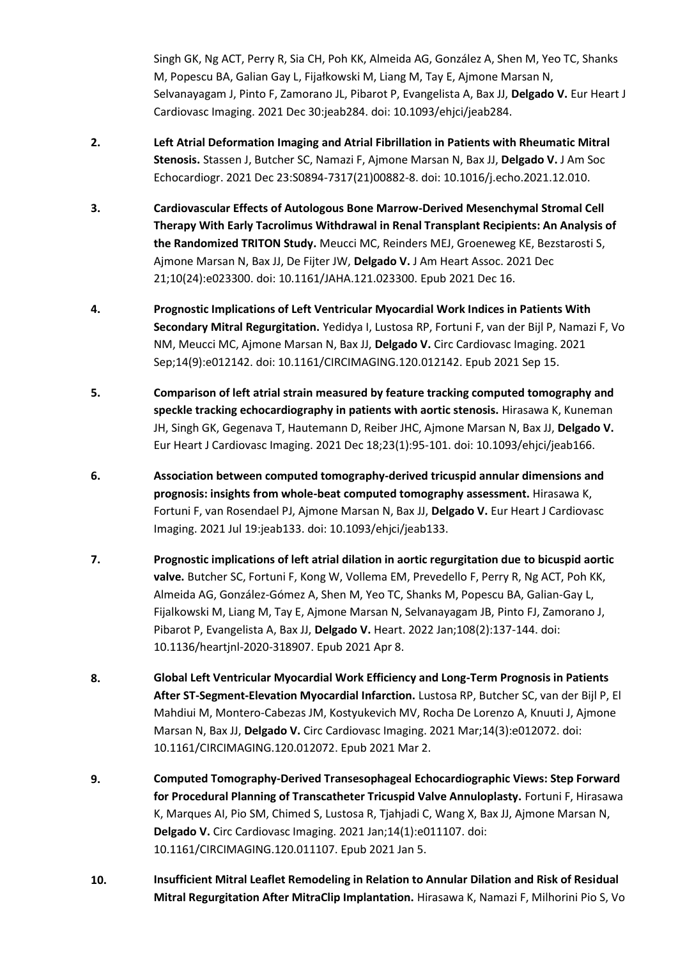Singh GK, Ng ACT, Perry R, Sia CH, Poh KK, Almeida AG, González A, Shen M, Yeo TC, Shanks M, Popescu BA, Galian Gay L, Fijałkowski M, Liang M, Tay E, Ajmone Marsan N, Selvanayagam J, Pinto F, Zamorano JL, Pibarot P, Evangelista A, Bax JJ, **Delgado V.** Eur Heart J Cardiovasc Imaging. 2021 Dec 30:jeab284. doi: 10.1093/ehjci/jeab284.

- **2. Left Atrial Deformation Imaging and Atrial Fibrillation in Patients with Rheumatic Mitral Stenosis.** Stassen J, Butcher SC, Namazi F, Ajmone Marsan N, Bax JJ, **Delgado V.** J Am Soc Echocardiogr. 2021 Dec 23:S0894-7317(21)00882-8. doi: 10.1016/j.echo.2021.12.010.
- **3. Cardiovascular Effects of Autologous Bone Marrow-Derived Mesenchymal Stromal Cell Therapy With Early Tacrolimus Withdrawal in Renal Transplant Recipients: An Analysis of the Randomized TRITON Study.** Meucci MC, Reinders MEJ, Groeneweg KE, Bezstarosti S, Ajmone Marsan N, Bax JJ, De Fijter JW, **Delgado V.** J Am Heart Assoc. 2021 Dec 21;10(24):e023300. doi: 10.1161/JAHA.121.023300. Epub 2021 Dec 16.
- **4. Prognostic Implications of Left Ventricular Myocardial Work Indices in Patients With Secondary Mitral Regurgitation.** Yedidya I, Lustosa RP, Fortuni F, van der Bijl P, Namazi F, Vo NM, Meucci MC, Ajmone Marsan N, Bax JJ, **Delgado V.** Circ Cardiovasc Imaging. 2021 Sep;14(9):e012142. doi: 10.1161/CIRCIMAGING.120.012142. Epub 2021 Sep 15.
- **5. Comparison of left atrial strain measured by feature tracking computed tomography and speckle tracking echocardiography in patients with aortic stenosis.** Hirasawa K, Kuneman JH, Singh GK, Gegenava T, Hautemann D, Reiber JHC, Ajmone Marsan N, Bax JJ, **Delgado V.** Eur Heart J Cardiovasc Imaging. 2021 Dec 18;23(1):95-101. doi: 10.1093/ehjci/jeab166.
- **6. Association between computed tomography-derived tricuspid annular dimensions and prognosis: insights from whole-beat computed tomography assessment.** Hirasawa K, Fortuni F, van Rosendael PJ, Ajmone Marsan N, Bax JJ, **Delgado V.** Eur Heart J Cardiovasc Imaging. 2021 Jul 19:jeab133. doi: 10.1093/ehjci/jeab133.
- **7. Prognostic implications of left atrial dilation in aortic regurgitation due to bicuspid aortic valve.** Butcher SC, Fortuni F, Kong W, Vollema EM, Prevedello F, Perry R, Ng ACT, Poh KK, Almeida AG, González-Gómez A, Shen M, Yeo TC, Shanks M, Popescu BA, Galian-Gay L, Fijalkowski M, Liang M, Tay E, Ajmone Marsan N, Selvanayagam JB, Pinto FJ, Zamorano J, Pibarot P, Evangelista A, Bax JJ, **Delgado V.** Heart. 2022 Jan;108(2):137-144. doi: 10.1136/heartjnl-2020-318907. Epub 2021 Apr 8.
- **8. Global Left Ventricular Myocardial Work Efficiency and Long-Term Prognosis in Patients After ST-Segment-Elevation Myocardial Infarction.** Lustosa RP, Butcher SC, van der Bijl P, El Mahdiui M, Montero-Cabezas JM, Kostyukevich MV, Rocha De Lorenzo A, Knuuti J, Ajmone Marsan N, Bax JJ, **Delgado V.** Circ Cardiovasc Imaging. 2021 Mar;14(3):e012072. doi: 10.1161/CIRCIMAGING.120.012072. Epub 2021 Mar 2.
- **9. Computed Tomography-Derived Transesophageal Echocardiographic Views: Step Forward for Procedural Planning of Transcatheter Tricuspid Valve Annuloplasty.** Fortuni F, Hirasawa K, Marques AI, Pio SM, Chimed S, Lustosa R, Tjahjadi C, Wang X, Bax JJ, Ajmone Marsan N, **Delgado V.** Circ Cardiovasc Imaging. 2021 Jan;14(1):e011107. doi: 10.1161/CIRCIMAGING.120.011107. Epub 2021 Jan 5.
- **10. Insufficient Mitral Leaflet Remodeling in Relation to Annular Dilation and Risk of Residual Mitral Regurgitation After MitraClip Implantation.** Hirasawa K, Namazi F, Milhorini Pio S, Vo